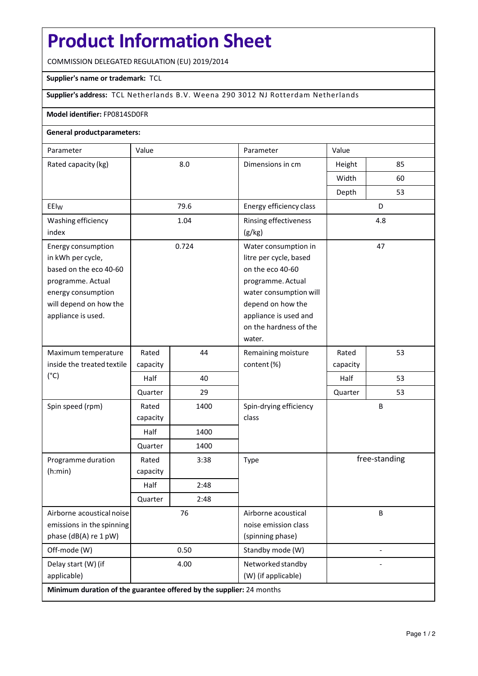# **Product Information Sheet**

COMMISSION DELEGATED REGULATION (EU) 2019/2014

#### **Supplier's name or trademark:** TCL

## **Supplier's address:** TCL Netherlands B.V. Weena 290 3012 NJ Rotterdam Netherlands

#### **Model identifier:** FP0814SD0FR

## **General productparameters:**

| Parameter                                                            | Value    |      | Parameter                                  | Value                    |    |
|----------------------------------------------------------------------|----------|------|--------------------------------------------|--------------------------|----|
| Rated capacity (kg)                                                  | 8.0      |      | Dimensions in cm                           | Height                   | 85 |
|                                                                      |          |      |                                            | Width                    | 60 |
|                                                                      |          |      |                                            | Depth                    | 53 |
| EEI <sub>W</sub>                                                     | 79.6     |      | Energy efficiency class                    | D                        |    |
| Washing efficiency                                                   | 1.04     |      | Rinsing effectiveness                      | 4.8                      |    |
| index                                                                |          |      | (g/kg)                                     |                          |    |
| Energy consumption                                                   | 0.724    |      | Water consumption in                       |                          | 47 |
| in kWh per cycle,                                                    |          |      | litre per cycle, based                     |                          |    |
| based on the eco 40-60                                               |          |      | on the eco 40-60                           |                          |    |
| programme. Actual                                                    |          |      | programme. Actual                          |                          |    |
| energy consumption                                                   |          |      | water consumption will                     |                          |    |
| will depend on how the<br>appliance is used.                         |          |      | depend on how the<br>appliance is used and |                          |    |
|                                                                      |          |      | on the hardness of the                     |                          |    |
|                                                                      |          |      | water.                                     |                          |    |
| Maximum temperature                                                  | Rated    | 44   | Remaining moisture                         | Rated                    | 53 |
| inside the treated textile                                           | capacity |      | content (%)                                | capacity                 |    |
| $(^{\circ}C)$                                                        | Half     | 40   |                                            | Half                     | 53 |
|                                                                      | Quarter  | 29   |                                            | Quarter                  | 53 |
| Spin speed (rpm)                                                     | Rated    | 1400 | Spin-drying efficiency<br>class            | В                        |    |
|                                                                      | capacity |      |                                            |                          |    |
|                                                                      | Half     | 1400 |                                            |                          |    |
|                                                                      | Quarter  | 1400 |                                            |                          |    |
| Programme duration                                                   | Rated    | 3:38 | Type                                       | free-standing            |    |
| (h:min)                                                              | capacity |      |                                            |                          |    |
|                                                                      | Half     | 2:48 |                                            |                          |    |
|                                                                      | Quarter  | 2:48 |                                            |                          |    |
| Airborne acoustical noise                                            | 76       |      | Airborne acoustical                        | В                        |    |
| emissions in the spinning                                            |          |      | noise emission class                       |                          |    |
| phase (dB(A) re 1 pW)                                                |          |      | (spinning phase)                           |                          |    |
| Off-mode (W)                                                         | 0.50     |      | Standby mode (W)                           | $\overline{\phantom{a}}$ |    |
| Delay start (W) (if                                                  | 4.00     |      | Networked standby                          |                          |    |
| applicable)                                                          |          |      | (W) (if applicable)                        |                          |    |
| Minimum duration of the guarantee offered by the supplier: 24 months |          |      |                                            |                          |    |